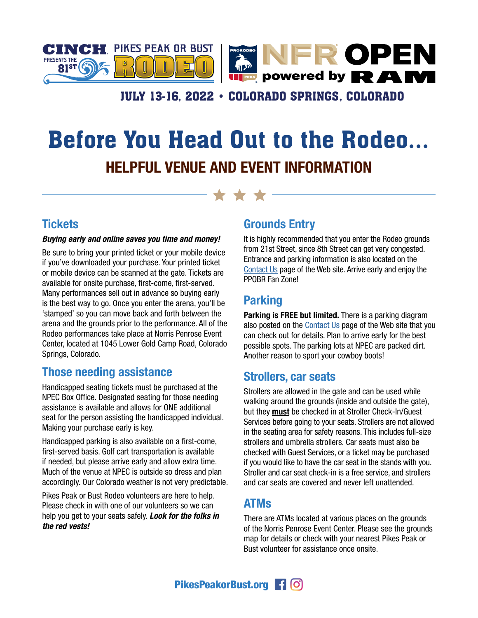

## **JULY 13-16, 2022 · COLORADO SPRINGS, COLORADO**

## Before You Head Out to the Rodeo... HELPFUL VENUE AND EVENT INFORMATION

#### **Tickets**

#### *Buying early and online saves you time and money!*

Be sure to bring your printed ticket or your mobile device if you've downloaded your purchase. Your printed ticket or mobile device can be scanned at the gate. Tickets are available for onsite purchase, first-come, first-served. Many performances sell out in advance so buying early is the best way to go. Once you enter the arena, you'll be 'stamped' so you can move back and forth between the arena and the grounds prior to the performance. All of the Rodeo performances take place at Norris Penrose Event Center, located at 1045 Lower Gold Camp Road, Colorado Springs, Colorado.

#### Those needing assistance

Handicapped seating tickets must be purchased at the NPEC Box Office. Designated seating for those needing assistance is available and allows for ONE additional seat for the person assisting the handicapped individual. Making your purchase early is key.

Handicapped parking is also available on a first-come, first-served basis. Golf cart transportation is available if needed, but please arrive early and allow extra time. Much of the venue at NPEC is outside so dress and plan accordingly. Our Colorado weather is not very predictable.

Pikes Peak or Bust Rodeo volunteers are here to help. Please check in with one of our volunteers so we can help you get to your seats safely. *Look for the folks in the red vests!* 

### Grounds Entry

It is highly recommended that you enter the Rodeo grounds from 21st Street, since 8th Street can get very congested. Entrance and parking information is also located on the [Contact Us](https://www.pikespeakorbust.org/#contact-us) page of the Web site. Arrive early and enjoy the PPOBR Fan Zone!

## Parking

Parking is FREE but limited. There is a parking diagram also posted on the [Contact Us](https://www.pikespeakorbust.org/#contact-us) page of the Web site that you can check out for details. Plan to arrive early for the best possible spots. The parking lots at NPEC are packed dirt. Another reason to sport your cowboy boots!

#### Strollers, car seats

Strollers are allowed in the gate and can be used while walking around the grounds (inside and outside the gate), but they **must** be checked in at Stroller Check-In/Guest Services before going to your seats. Strollers are not allowed in the seating area for safety reasons. This includes full-size strollers and umbrella strollers. Car seats must also be checked with Guest Services, or a ticket may be purchased if you would like to have the car seat in the stands with you. Stroller and car seat check-in is a free service, and strollers and car seats are covered and never left unattended.

#### ATMs

There are ATMs located at various places on the grounds of the Norris Penrose Event Center. Please see the grounds map for details or check with your nearest Pikes Peak or Bust volunteer for assistance once onsite.